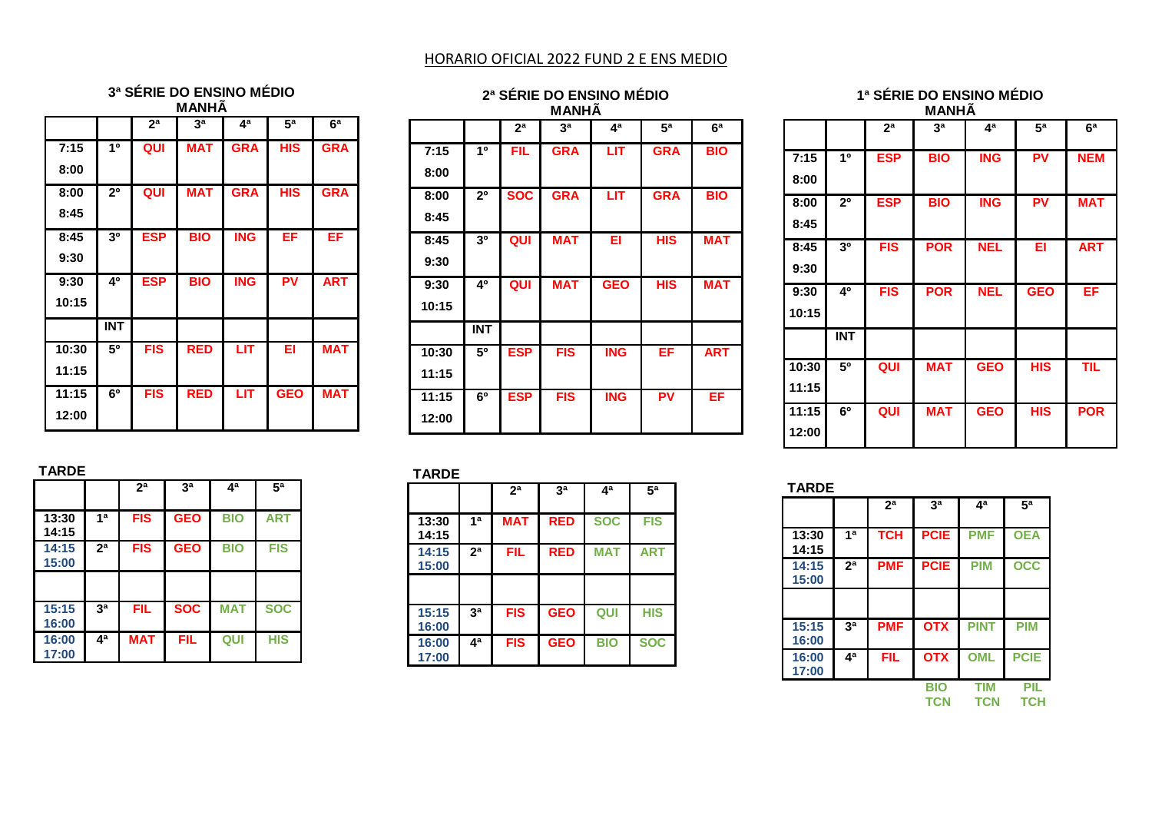# HORARIO OFICIAL 2022 FUND 2 E ENS MEDIO

#### **3ª SÉRIE DO ENSINO MÉDIO MANHÃ**

|       |                | 2 <sup>a</sup> | 3 <sup>a</sup> | 4ª         | 5 <sup>a</sup> | 6 <sup>a</sup> |
|-------|----------------|----------------|----------------|------------|----------------|----------------|
| 7:15  | 10             | QUI            | <b>MAT</b>     | <b>GRA</b> | <b>HIS</b>     | <b>GRA</b>     |
| 8:00  |                |                |                |            |                |                |
| 8:00  | 2 <sup>0</sup> | QUI            | <b>MAT</b>     | <b>GRA</b> | <b>HIS</b>     | <b>GRA</b>     |
| 8:45  |                |                |                |            |                |                |
| 8:45  | 30             | <b>ESP</b>     | <b>BIO</b>     | <b>ING</b> | EF             | EF             |
| 9:30  |                |                |                |            |                |                |
| 9:30  | 40             | <b>ESP</b>     | <b>BIO</b>     | <b>ING</b> | PV             | <b>ART</b>     |
| 10:15 |                |                |                |            |                |                |
|       | <b>INT</b>     |                |                |            |                |                |
| 10:30 | 50             | <b>FIS</b>     | <b>RED</b>     | LIT        | EI             | <b>MAT</b>     |
| 11:15 |                |                |                |            |                |                |
| 11:15 | 60             | <b>FIS</b>     | <b>RED</b>     | LIT        | <b>GEO</b>     | <b>MAT</b>     |
| 12:00 |                |                |                |            |                |                |

| 2ª SÉRIE DO ENSINO MÉDIO<br><b>MANHÂ</b> |                                                                            |            |            |                           |            |            |  |  |  |
|------------------------------------------|----------------------------------------------------------------------------|------------|------------|---------------------------|------------|------------|--|--|--|
|                                          | 4 <sup>a</sup><br>5 <sup>a</sup><br>6 <sup>a</sup><br>2 <sup>a</sup><br>за |            |            |                           |            |            |  |  |  |
| 7:15                                     | 10                                                                         | <b>FIL</b> | <b>GRA</b> | $\overline{\mathsf{LIT}}$ | <b>GRA</b> | <b>BIO</b> |  |  |  |
| 8:00                                     |                                                                            |            |            |                           |            |            |  |  |  |
| 8:00                                     | 2 <sup>0</sup>                                                             | <b>SOC</b> | <b>GRA</b> | LIT                       | <b>GRA</b> | <b>BIO</b> |  |  |  |
| 8:45                                     |                                                                            |            |            |                           |            |            |  |  |  |
| 8:45                                     | 3 <sup>0</sup>                                                             | QUI        | <b>MAT</b> | EI                        | <b>HIS</b> | <b>MAT</b> |  |  |  |
| 9:30                                     |                                                                            |            |            |                           |            |            |  |  |  |
| 9:30                                     | 40                                                                         | QUI        | <b>MAT</b> | <b>GEO</b>                | <b>HIS</b> | <b>MAT</b> |  |  |  |
| 10:15                                    |                                                                            |            |            |                           |            |            |  |  |  |
|                                          | <b>INT</b>                                                                 |            |            |                           |            |            |  |  |  |
| 10:30                                    | 50                                                                         | <b>ESP</b> | <b>FIS</b> | <b>ING</b>                | EF         | <b>ART</b> |  |  |  |
| 11:15                                    |                                                                            |            |            |                           |            |            |  |  |  |
| 11:15                                    | 6 <sup>0</sup>                                                             | <b>ESP</b> | <b>FIS</b> | <b>ING</b>                | PV         | EF         |  |  |  |
| 12:00                                    |                                                                            |            |            |                           |            |            |  |  |  |

|       | <b>MANHA</b>   |                |                |            |                |                |  |  |  |
|-------|----------------|----------------|----------------|------------|----------------|----------------|--|--|--|
|       |                | 2 <sup>a</sup> | 3 <sup>a</sup> | 4ª         | 5 <sup>a</sup> | 6 <sup>a</sup> |  |  |  |
| 7:15  | 10             | <b>ESP</b>     | <b>BIO</b>     | <b>ING</b> | PV             | <b>NEM</b>     |  |  |  |
| 8:00  |                |                |                |            |                |                |  |  |  |
| 8:00  | 2 <sup>0</sup> | <b>ESP</b>     | <b>BIO</b>     | <b>ING</b> | PV             | <b>MAT</b>     |  |  |  |
| 8:45  |                |                |                |            |                |                |  |  |  |
| 8:45  | 3 <sup>0</sup> | <b>FIS</b>     | <b>POR</b>     | <b>NEL</b> | EI             | <b>ART</b>     |  |  |  |
| 9:30  |                |                |                |            |                |                |  |  |  |
| 9:30  | 40             | <b>FIS</b>     | <b>POR</b>     | <b>NEL</b> | <b>GEO</b>     | EF             |  |  |  |
| 10:15 |                |                |                |            |                |                |  |  |  |
|       | <b>INT</b>     |                |                |            |                |                |  |  |  |
| 10:30 | 50             | QUI            | <b>MAT</b>     | <b>GEO</b> | <b>HIS</b>     | <b>TIL</b>     |  |  |  |
| 11:15 |                |                |                |            |                |                |  |  |  |
| 11:15 | 6°             | QUI            | <b>MAT</b>     | <b>GEO</b> | HIS            | <b>POR</b>     |  |  |  |

## **TARDE**

|                |                | 2 <sup>a</sup> | 3 <sup>a</sup> | 4а         | 5 <sup>a</sup> |
|----------------|----------------|----------------|----------------|------------|----------------|
| 13:30<br>14:15 | 1 <sup>a</sup> | <b>FIS</b>     | <b>GEO</b>     | <b>BIO</b> | <b>ART</b>     |
| 14:15<br>15:00 | 2 <sup>a</sup> | <b>FIS</b>     | <b>GEO</b>     | <b>BIO</b> | FIS            |
|                |                |                |                |            |                |
| 15:15<br>16:00 | 3 <sup>a</sup> | FIL            | <b>SOC</b>     | <b>MAT</b> | <b>SOC</b>     |
| 16:00<br>17:00 | 4ª             | <b>MAT</b>     | FIL            | QUI        | HIS            |

#### **TARDE**

|                |                | 2 <sup>a</sup> | 3 <sup>a</sup> | ⊿a         | 5 <sup>a</sup> |
|----------------|----------------|----------------|----------------|------------|----------------|
| 13:30<br>14:15 | 1 <sup>a</sup> | <b>MAT</b>     | <b>RED</b>     | <b>SOC</b> | <b>FIS</b>     |
| 14:15<br>15:00 | 2 <sup>a</sup> | FIL            | <b>RED</b>     | <b>MAT</b> | ART            |
|                |                |                |                |            |                |
| 15:15<br>16:00 | 3 <sup>a</sup> | FIS            | <b>GEO</b>     | QUI        | HIS            |
| 16:00<br>17:00 | 4ª             | <b>FIS</b>     | <b>GEO</b>     | <b>BIO</b> | <b>SOC</b>     |

#### **TARDE**

**12:00**

|                |                | 2 <sup>a</sup> | 3 <sup>a</sup>    | 4ª                       | 5 <sup>a</sup> |
|----------------|----------------|----------------|-------------------|--------------------------|----------------|
| 13:30<br>14:15 | 1 <sup>a</sup> | <b>TCH</b>     | <b>PCIE</b>       | <b>PMF</b>               | <b>OEA</b>     |
| 14:15<br>15:00 | 2 <sup>a</sup> | <b>PMF</b>     | <b>PCIE</b>       | <b>PIM</b>               | <b>OCC</b>     |
|                |                |                |                   |                          |                |
| 15:15<br>16:00 | 3 <sup>a</sup> | <b>PMF</b>     | <b>OTX</b>        | <b>PINT</b>              | <b>PIM</b>     |
| 16:00<br>17:00 | 4ª             | FIL            | <b>OTX</b>        | <b>OML</b>               | <b>PCIE</b>    |
|                |                |                | BIO<br><b>TCN</b> | <b>TIM</b><br><b>TCN</b> | PIL<br>TCH     |

# **1ª SÉRIE DO ENSINO MÉDIO**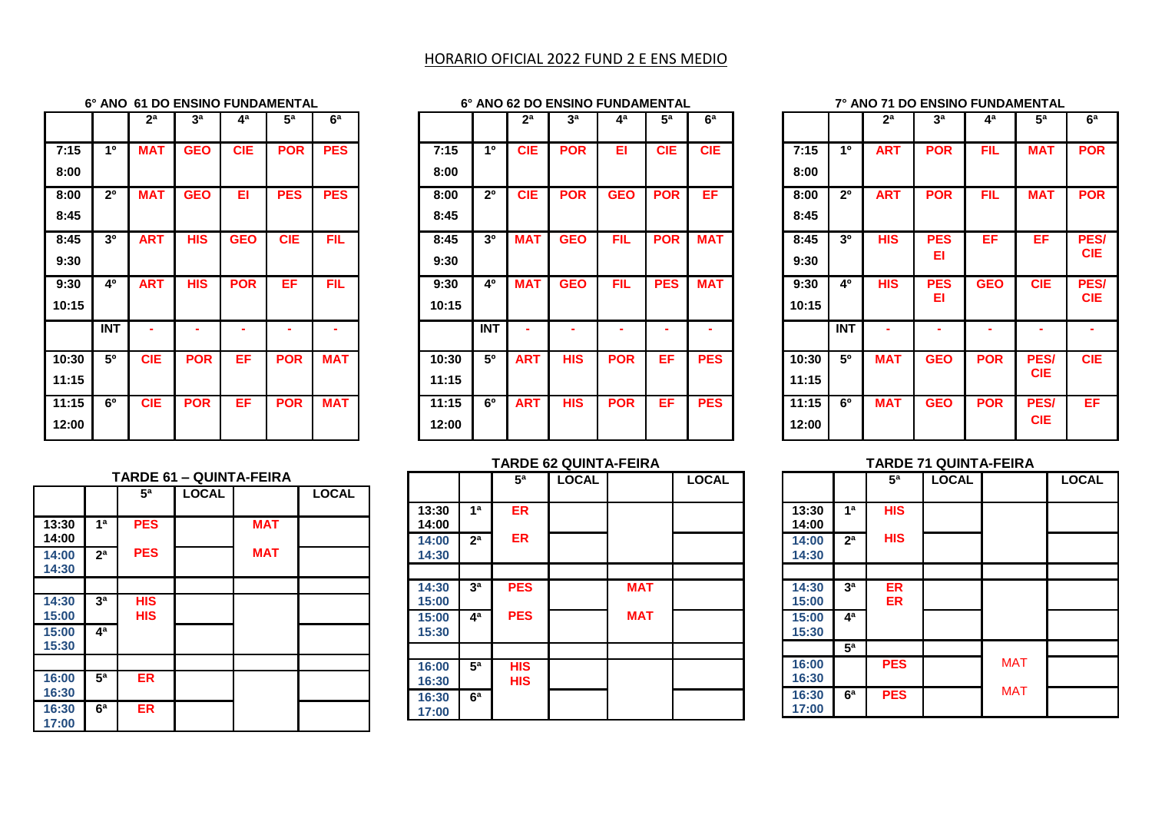# HORARIO OFICIAL 2022 FUND 2 E ENS MEDIO

#### **6° ANO 61 DO ENSINO FUNDAMENTAL**

|       |                | 2 <sup>a</sup> | 3 <sup>a</sup> | 4 <sup>a</sup> | 5 <sup>a</sup> | 6 <sup>a</sup> |
|-------|----------------|----------------|----------------|----------------|----------------|----------------|
| 7:15  | 10             | <b>MAT</b>     | <b>GEO</b>     | <b>CIE</b>     | <b>POR</b>     | <b>PES</b>     |
| 8:00  |                |                |                |                |                |                |
| 8:00  | 2 <sup>0</sup> | <b>MAT</b>     | <b>GEO</b>     | EI             | <b>PES</b>     | <b>PES</b>     |
| 8:45  |                |                |                |                |                |                |
| 8:45  | 3 <sup>0</sup> | <b>ART</b>     | <b>HIS</b>     | <b>GEO</b>     | <b>CIE</b>     | <b>FIL</b>     |
| 9:30  |                |                |                |                |                |                |
| 9:30  | 40             | <b>ART</b>     | HIS            | <b>POR</b>     | EF             | <b>FIL</b>     |
| 10:15 |                |                |                |                |                |                |
|       |                |                |                |                |                |                |
|       | <b>INT</b>     |                |                |                |                |                |
| 10:30 | 50             | <b>CIE</b>     | POR            | EF             | <b>POR</b>     | <b>MAT</b>     |
| 11:15 |                |                |                |                |                |                |
| 11:15 | 6 <sup>0</sup> | <b>CIE</b>     | <b>POR</b>     | ΕF             | <b>POR</b>     | <b>MAT</b>     |

| 6° ANO 62 DO ENSINO FUNDAMENTAL |                |                |                |            |            |                |  |
|---------------------------------|----------------|----------------|----------------|------------|------------|----------------|--|
|                                 |                | 2 <sup>a</sup> | 3 <sup>a</sup> | 4ª         | 5а         | 6 <sup>a</sup> |  |
| 7:15                            | 10             | <b>CIE</b>     | <b>POR</b>     | EI         | <b>CIE</b> | <b>CIE</b>     |  |
| 8:00                            |                |                |                |            |            |                |  |
| 8:00                            | 2 <sup>0</sup> | <b>CIE</b>     | <b>POR</b>     | <b>GEO</b> | <b>POR</b> | EF             |  |
| 8:45                            |                |                |                |            |            |                |  |
| 8:45                            | 30             | <b>MAT</b>     | <b>GEO</b>     | <b>FIL</b> | <b>POR</b> | <b>MAT</b>     |  |
| 9:30                            |                |                |                |            |            |                |  |
| 9:30                            | 40             | <b>MAT</b>     | <b>GEO</b>     | <b>FIL</b> | <b>PES</b> | <b>MAT</b>     |  |
| 10:15                           |                |                |                |            |            |                |  |
|                                 | <b>INT</b>     |                |                |            |            |                |  |
| 10:30                           | 50             | <b>ART</b>     | <b>HIS</b>     | <b>POR</b> | ЕF         | <b>PES</b>     |  |
| 11:15                           |                |                |                |            |            |                |  |
| 11:15                           | 6 <sup>0</sup> | <b>ART</b>     | <b>HIS</b>     | <b>POR</b> | EF         | <b>PES</b>     |  |
| 12:00                           |                |                |                |            |            |                |  |

#### **7° ANO 71 DO ENSINO FUNDAMENTAL**

|       |                | 2 <sup>a</sup> | 3 <sup>a</sup> | 4ª         | 5a          | 6 <sup>a</sup> |
|-------|----------------|----------------|----------------|------------|-------------|----------------|
| 7:15  | 10             | <b>ART</b>     | <b>POR</b>     | <b>FIL</b> | <b>MAT</b>  | <b>POR</b>     |
| 8:00  |                |                |                |            |             |                |
| 8:00  | 2 <sup>0</sup> | <b>ART</b>     | <b>POR</b>     | <b>FIL</b> | <b>MAT</b>  | <b>POR</b>     |
| 8:45  |                |                |                |            |             |                |
| 8:45  | 3 <sup>0</sup> | <b>HIS</b>     | <b>PES</b>     | EF         | EF          | <b>PES/</b>    |
| 9:30  |                |                | EI             |            |             | <b>CIE</b>     |
| 9:30  | 40             | <b>HIS</b>     | <b>PES</b>     | <b>GEO</b> | <b>CIE</b>  | PES/           |
| 10:15 |                |                | EI             |            |             | <b>CIE</b>     |
|       | <b>INT</b>     |                |                |            |             |                |
| 10:30 | 50             | <b>MAT</b>     | <b>GEO</b>     | <b>POR</b> | <b>PES/</b> | <b>CIE</b>     |
| 11:15 |                |                |                |            | <b>CIE</b>  |                |
| 11:15 | 6 <sup>o</sup> | <b>MAT</b>     | <b>GEO</b>     | <b>POR</b> | <b>PES/</b> | EF             |
| 12:00 |                |                |                |            | <b>CIE</b>  |                |

#### **TARDE 71 QUINTA-FEIRA**

|                |                  | 5 <sup>a</sup>  | <b>LOCAL</b> |            | <b>LOCAL</b> |
|----------------|------------------|-----------------|--------------|------------|--------------|
| 13:30<br>14:00 | 1 <sup>a</sup>   | <b>HIS</b>      |              |            |              |
| 14:00<br>14:30 | 2 <sup>a</sup>   | <b>HIS</b>      |              |            |              |
|                |                  |                 |              |            |              |
| 14:30<br>15:00 | за               | ER<br><b>ER</b> |              |            |              |
| 15:00<br>15:30 | $\overline{4^a}$ |                 |              |            |              |
|                | 5 <sup>a</sup>   |                 |              |            |              |
| 16:00<br>16:30 |                  | <b>PES</b>      |              | <b>MAT</b> |              |
| 16:30<br>17:00 | 6 <sup>a</sup>   | <b>PES</b>      |              | <b>MAT</b> |              |

# **TARDE 62 QUINTA-FEIRA**

| <b>TARDE 61 - QUINTA-FEIRA</b> |                |                |              |            |              |  |  |  |
|--------------------------------|----------------|----------------|--------------|------------|--------------|--|--|--|
|                                |                | 5 <sup>a</sup> | <b>LOCAL</b> |            | <b>LOCAL</b> |  |  |  |
|                                |                |                |              |            |              |  |  |  |
| 13:30                          | 1 <sup>a</sup> | <b>PES</b>     |              | <b>MAT</b> |              |  |  |  |
| 14:00                          |                |                |              |            |              |  |  |  |
| 14:00                          | 2 <sup>a</sup> | <b>PES</b>     |              | <b>MAT</b> |              |  |  |  |
| 14:30                          |                |                |              |            |              |  |  |  |
|                                |                |                |              |            |              |  |  |  |
| 14:30                          | 3 <sup>a</sup> | <b>HIS</b>     |              |            |              |  |  |  |
| 15:00                          |                | <b>HIS</b>     |              |            |              |  |  |  |
| 15:00                          | 4ª             |                |              |            |              |  |  |  |
| 15:30                          |                |                |              |            |              |  |  |  |
|                                |                |                |              |            |              |  |  |  |
| 16:00                          | 5 <sup>a</sup> | <b>ER</b>      |              |            |              |  |  |  |
| 16:30                          |                |                |              |            |              |  |  |  |
| 16:30                          | 6 <sup>a</sup> | <b>ER</b>      |              |            |              |  |  |  |
| 17:00                          |                |                |              |            |              |  |  |  |

|                |                | 5 <sup>a</sup>           | <b>LOCAL</b> |            | <b>LOCAL</b> |
|----------------|----------------|--------------------------|--------------|------------|--------------|
| 13:30<br>14:00 | 1 <sup>a</sup> | <b>ER</b>                |              |            |              |
| 14:00<br>14:30 | 2 <sup>a</sup> | ER                       |              |            |              |
|                |                |                          |              |            |              |
| 14:30<br>15:00 | 3 <sup>a</sup> | <b>PES</b>               |              | <b>MAT</b> |              |
| 15:00<br>15:30 | 4 <sup>a</sup> | <b>PES</b>               |              | <b>MAT</b> |              |
|                |                |                          |              |            |              |
| 16:00<br>16:30 | 5 <sup>a</sup> | <b>HIS</b><br><b>HIS</b> |              |            |              |
| 16:30<br>17:00 | 6 <sup>a</sup> |                          |              |            |              |